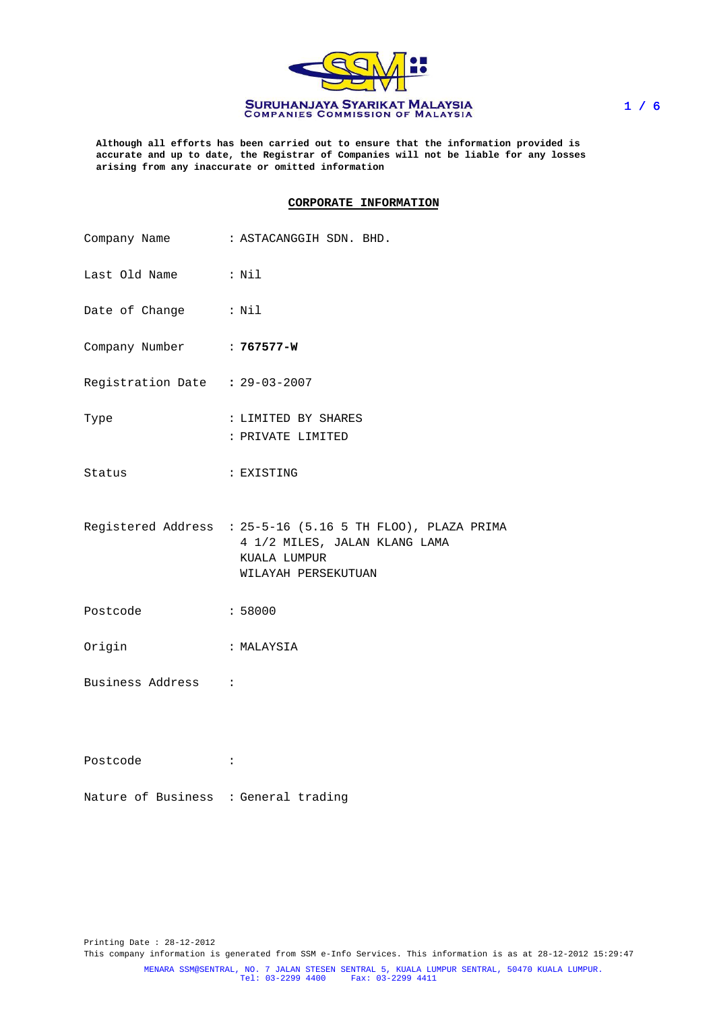

**Although all efforts has been carried out to ensure that the information provided is accurate and up to date, the Registrar of Companies will not be liable for any losses arising from any inaccurate or omitted information**

### **CORPORATE INFORMATION**

|                                | Company Name : ASTACANGGIH SDN. BHD.                                                                                               |
|--------------------------------|------------------------------------------------------------------------------------------------------------------------------------|
| Last Old Name : Nil            |                                                                                                                                    |
| Date of Change : Nil           |                                                                                                                                    |
| Company Number : 767577-W      |                                                                                                                                    |
| Registration Date : 29-03-2007 |                                                                                                                                    |
| Type                           | : LIMITED BY SHARES<br>: PRIVATE LIMITED                                                                                           |
| Status                         | : EXISTING                                                                                                                         |
|                                | Registered Address : 25-5-16 (5.16 5 TH FLOO), PLAZA PRIMA<br>4 1/2 MILES, JALAN KLANG LAMA<br>KUALA LUMPUR<br>WILAYAH PERSEKUTUAN |
| Postcode                       | : 58000                                                                                                                            |
| Origin                         | : MALAYSIA                                                                                                                         |
| Business Address :             |                                                                                                                                    |
| Postcode                       | $\ddot{\cdot}$                                                                                                                     |

Nature of Business : General trading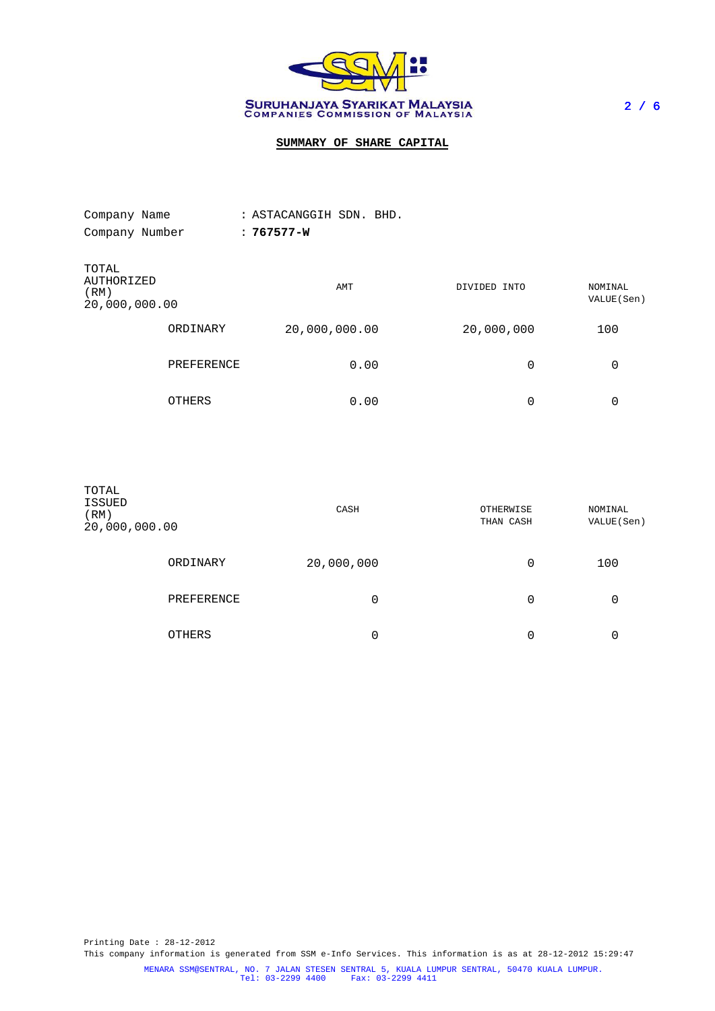

# **SUMMARY OF SHARE CAPITAL**

| Company Name                                 |            | : ASTACANGGIH SDN. BHD. |              |                        |
|----------------------------------------------|------------|-------------------------|--------------|------------------------|
| Company Number                               |            | $: 767577 - W$          |              |                        |
| TOTAL<br>AUTHORIZED<br>(RM)<br>20,000,000.00 |            | AMT                     | DIVIDED INTO | NOMINAL<br>VALUE (Sen) |
|                                              | ORDINARY   | 20,000,000.00           | 20,000,000   | 100                    |
|                                              | PREFERENCE | 0.00                    | 0            | 0                      |
|                                              | OTHERS     | 0.00                    | 0            | 0                      |

| TOTAL<br>ISSUED<br>(RM)<br>20,000,000.00 |            | CASH       | OTHERWISE<br>NOMINAL<br>VALUE (Sen)<br>THAN CASH |     |  |
|------------------------------------------|------------|------------|--------------------------------------------------|-----|--|
|                                          | ORDINARY   | 20,000,000 | 0                                                | 100 |  |
|                                          | PREFERENCE | 0          | 0                                                | 0   |  |
|                                          | OTHERS     | 0          | 0                                                | 0   |  |

Printing Date : 28-12-2012 This company information is generated from SSM e-Info Services. This information is as at 28-12-2012 15:29:47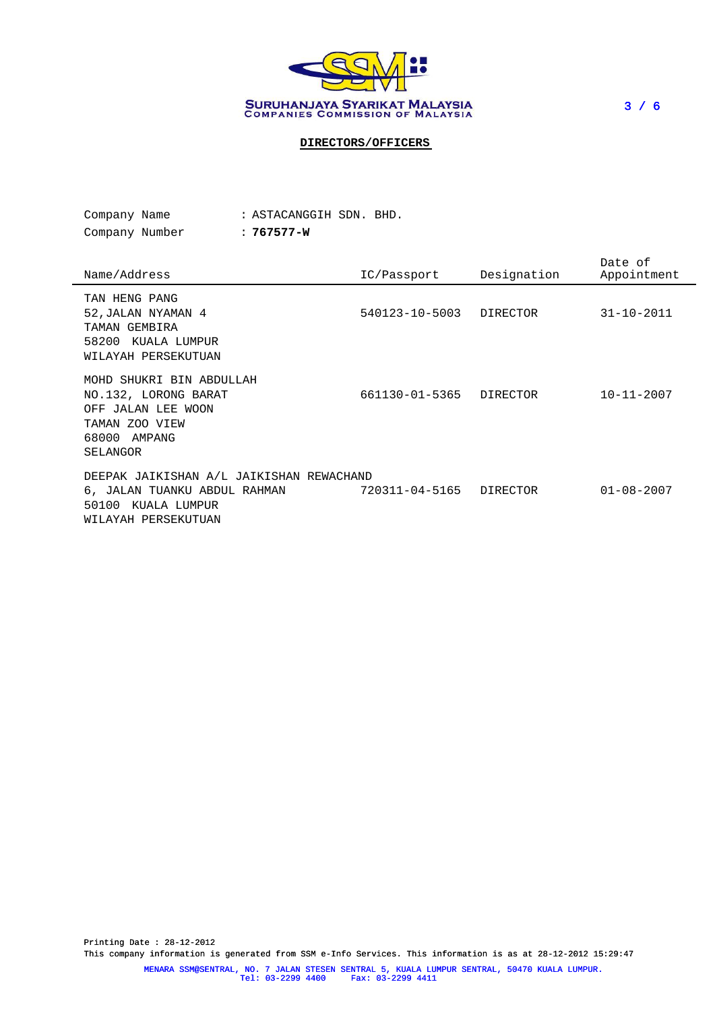

3 / 6

## **DIRECTORS/OFFICERS**

| Company Name   |  | : ASTACANGGIH SDN. BHD. |  |  |
|----------------|--|-------------------------|--|--|
| Company Number |  | : 767577-W              |  |  |

Name/Address IC/Passport Designation Date of Appointment TAN HENG PANG 52,JALAN NYAMAN 4 540123-10-5003 DIRECTOR 31-10-2011 TAMAN GEMBIRA 58200 KUALA LUMPUR WILAYAH PERSEKUTUAN MOHD SHUKRI BIN ABDULLAH NO.132, LORONG BARAT 661130-01-5365 DIRECTOR 10-11-2007 OFF JALAN LEE WOON TAMAN ZOO VIEW 68000 AMPANG SELANGOR DEEPAK JAIKISHAN A/L JAIKISHAN REWACHAND 6, JALAN TUANKU ABDUL RAHMAN 720311-04-5165 DIRECTOR 01-08-2007 50100 KUALA LUMPUR WILAYAH PERSEKUTUAN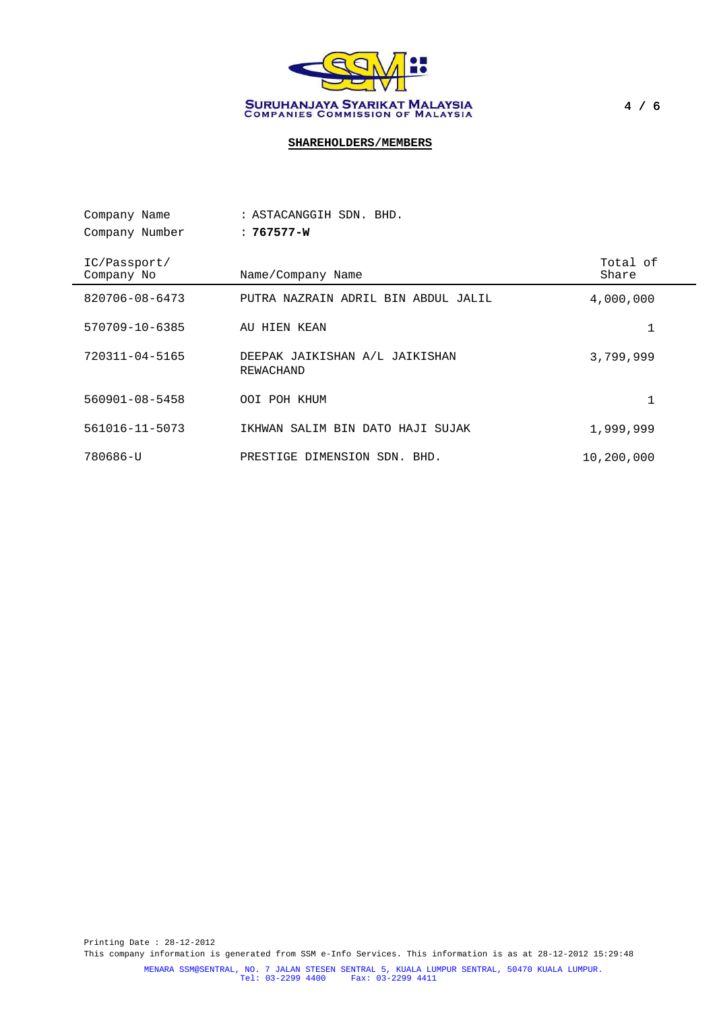

# **SHAREHOLDERS/MEMBERS**

| Company Name               | : ASTACANGGIH SDN. BHD.                            |                   |
|----------------------------|----------------------------------------------------|-------------------|
| Company Number             | $: 767577 - W$                                     |                   |
| IC/Passport/<br>Company No | Name/Company Name                                  | Total of<br>Share |
| 820706-08-6473             | PUTRA NAZRAIN ADRIL BIN ABDUL JALIL                | 4,000,000         |
| 570709-10-6385             | AU HIEN KEAN                                       | 1                 |
| 720311-04-5165             | DEEPAK JAIKISHAN A/L JAIKISHAN<br><b>REWACHAND</b> | 3,799,999         |
| $560901 - 08 - 5458$       | OOI POH KHUM                                       | 1                 |
| 561016-11-5073             | IKHWAN SALIM BIN DATO HAJI SUJAK                   | 1,999,999         |
| 780686-U                   | DIMENSION SDN. BHD.<br>PRESTIGE                    | 10,200,000        |

Printing Date : 28-12-2012 This company information is generated from SSM e-Info Services. This information is as at 28-12-2012 15:29:48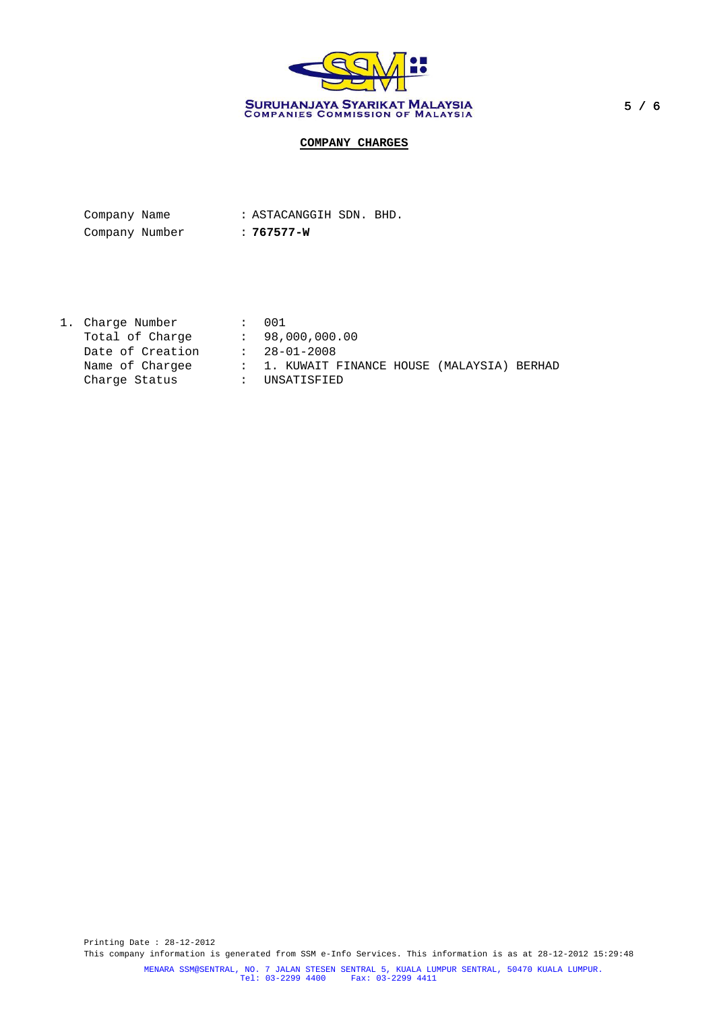

# **COMPANY CHARGES**

| Company Name   |  | : ASTACANGGIH SDN. BHD. |  |
|----------------|--|-------------------------|--|
| Company Number |  | : 767577-W              |  |

1. Charge Number : 001 Total of Charge : 98,000,000.00 Date of Creation : 28-01-2008 : 1. KUWAIT FINANCE HOUSE (MALAYSIA) BERHAD Charge Status : UNSATISFIED

Printing Date : 28-12-2012 This company information is generated from SSM e-Info Services. This information is as at 28-12-2012 15:29:48